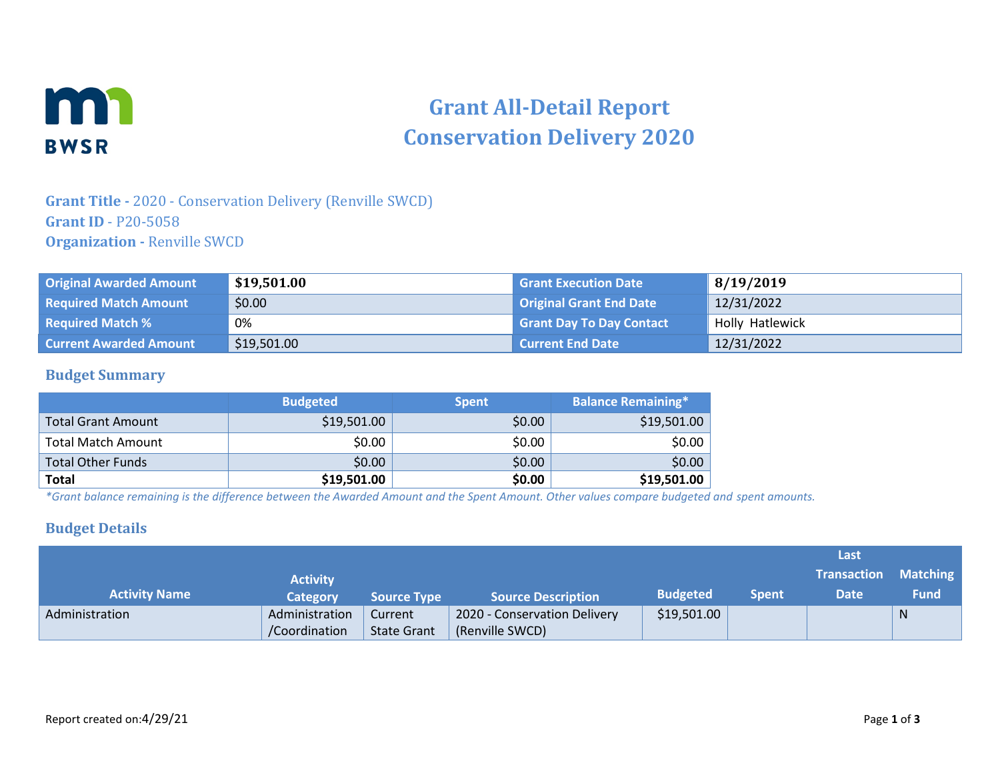

# **Grant All-Detail Report Conservation Delivery 2020**

## **Grant Title -** 2020 - Conservation Delivery (Renville SWCD) **Grant ID** - P20-5058 **Organization -** Renville SWCD

| <b>Original Awarded Amount</b> | \$19,501.00 | <b>Grant Execution Date</b>     | 8/19/2019       |
|--------------------------------|-------------|---------------------------------|-----------------|
| <b>Required Match Amount</b>   | \$0.00      | <b>Original Grant End Date</b>  | 12/31/2022      |
| <b>Required Match %</b>        | 0%          | <b>Grant Day To Day Contact</b> | Holly Hatlewick |
| <b>Current Awarded Amount</b>  | \$19,501.00 | <b>Current End Date</b>         | 12/31/2022      |

#### **Budget Summary**

|                           | <b>Budgeted</b> | <b>Spent</b> | <b>Balance Remaining*</b> |
|---------------------------|-----------------|--------------|---------------------------|
| Total Grant Amount        | \$19,501.00     | \$0.00       | \$19,501.00               |
| <b>Total Match Amount</b> | \$0.00          | \$0.00       | \$0.00                    |
| <b>Total Other Funds</b>  | \$0.00          | \$0.00       | \$0.00                    |
| <b>Total</b>              | \$19,501.00     | \$0.00       | \$19,501.00               |

*\*Grant balance remaining is the difference between the Awarded Amount and the Spent Amount. Other values compare budgeted and spent amounts.*

#### **Budget Details**

|                      |                 |                    |                              |                 |              | Last                        |             |
|----------------------|-----------------|--------------------|------------------------------|-----------------|--------------|-----------------------------|-------------|
|                      | <b>Activity</b> |                    |                              |                 |              | <b>Transaction Matching</b> |             |
| <b>Activity Name</b> | Category        | <b>Source Type</b> | <b>Source Description</b>    | <b>Budgeted</b> | <b>Spent</b> | <b>Date</b>                 | <b>Fund</b> |
| Administration       | Administration  | Current            | 2020 - Conservation Delivery | \$19,501.00     |              |                             | N           |
|                      | /Coordination   | <b>State Grant</b> | (Renville SWCD)              |                 |              |                             |             |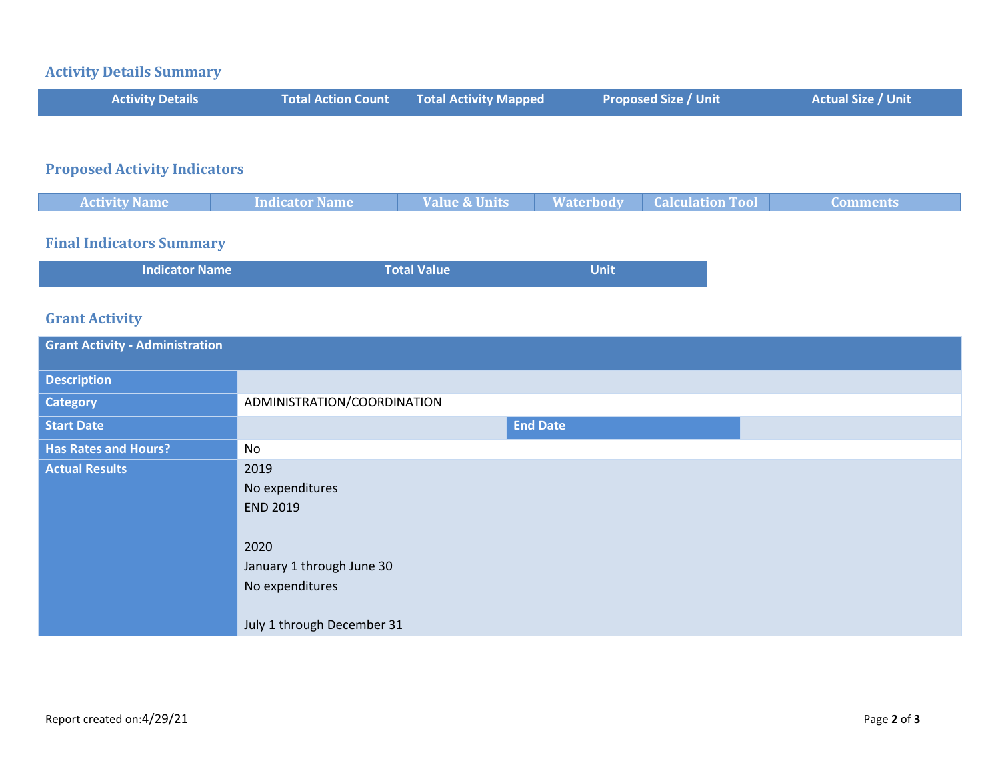#### **Activity Details Summary**

| <b>Activity Details</b> | <b>Total Action Count Total Activity Mapped</b> | <b>Proposed Size / Unit</b> | Actual Size / Unit |
|-------------------------|-------------------------------------------------|-----------------------------|--------------------|
|                         |                                                 |                             |                    |

# **Proposed Activity Indicators**

| <b>Activity Name</b> | ndicator Name | ie & Units<br>an az | $M$ otorhody | <b>START AND THE</b> |  |
|----------------------|---------------|---------------------|--------------|----------------------|--|
|                      |               |                     |              |                      |  |

#### **Final Indicators Summary**

| <b>Indicator Name</b> | <b>Total Value</b> | <b>Unit</b> |
|-----------------------|--------------------|-------------|
|                       |                    |             |

## **Grant Activity**

| <b>Grant Activity - Administration</b> |                                                                                                                                  |  |  |  |
|----------------------------------------|----------------------------------------------------------------------------------------------------------------------------------|--|--|--|
| <b>Description</b>                     |                                                                                                                                  |  |  |  |
| <b>Category</b>                        | ADMINISTRATION/COORDINATION                                                                                                      |  |  |  |
| <b>Start Date</b>                      | <b>End Date</b>                                                                                                                  |  |  |  |
| <b>Has Rates and Hours?</b>            | No                                                                                                                               |  |  |  |
| <b>Actual Results</b>                  | 2019<br>No expenditures<br><b>END 2019</b><br>2020<br>January 1 through June 30<br>No expenditures<br>July 1 through December 31 |  |  |  |